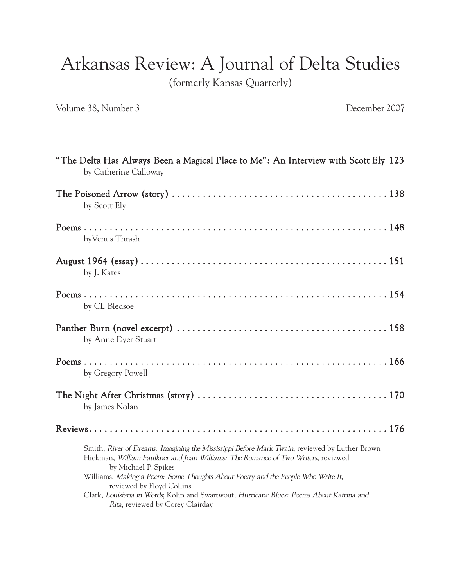Arkansas Review: A Journal of Delta Studies

(formerly Kansas Quarterly)

Volume 38, Number 3 December 2007

| "The Delta Has Always Been a Magical Place to Me": An Interview with Scott Ely 123<br>by Catherine Calloway                                                                                                                                                                                                                                                                                                                                                 |
|-------------------------------------------------------------------------------------------------------------------------------------------------------------------------------------------------------------------------------------------------------------------------------------------------------------------------------------------------------------------------------------------------------------------------------------------------------------|
| by Scott Ely                                                                                                                                                                                                                                                                                                                                                                                                                                                |
| byVenus Thrash                                                                                                                                                                                                                                                                                                                                                                                                                                              |
| by J. Kates                                                                                                                                                                                                                                                                                                                                                                                                                                                 |
| by CL Bledsoe                                                                                                                                                                                                                                                                                                                                                                                                                                               |
| by Anne Dyer Stuart                                                                                                                                                                                                                                                                                                                                                                                                                                         |
| by Gregory Powell                                                                                                                                                                                                                                                                                                                                                                                                                                           |
| by James Nolan                                                                                                                                                                                                                                                                                                                                                                                                                                              |
|                                                                                                                                                                                                                                                                                                                                                                                                                                                             |
| Smith, River of Dreams: Imagining the Mississippi Before Mark Twain, reviewed by Luther Brown<br>Hickman, William Faulkner and Joan Williams: The Romance of Two Writers, reviewed<br>by Michael P. Spikes<br>Williams, Making a Poem: Some Thoughts About Poetry and the People Who Write It,<br>reviewed by Floyd Collins<br>Clark, Louisiana in Words; Kolin and Swartwout, Hurricane Blues: Poems About Katrina and<br>Rita, reviewed by Corey Clairday |